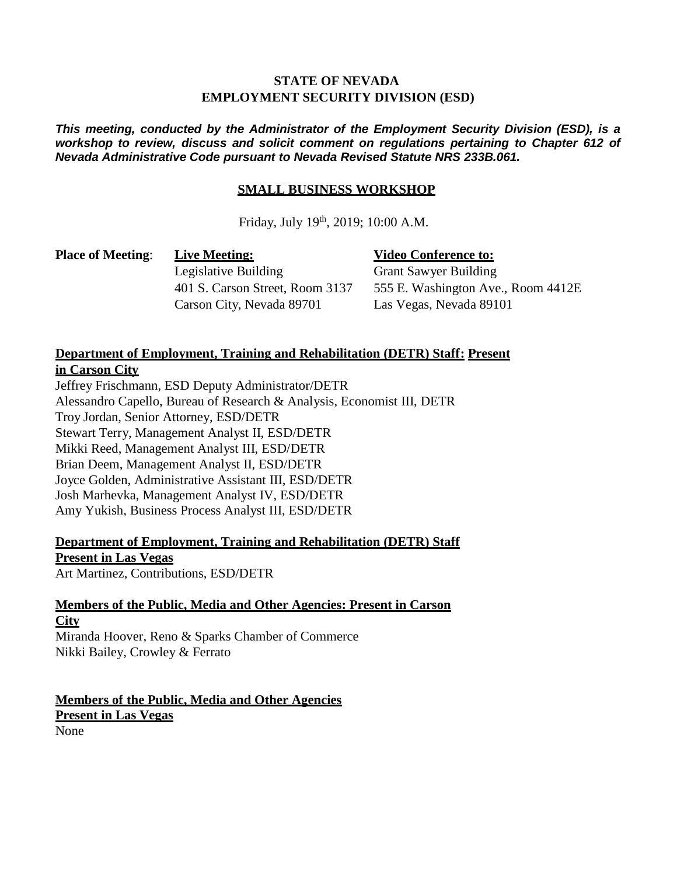#### **STATE OF NEVADA EMPLOYMENT SECURITY DIVISION (ESD)**

*This meeting, conducted by the Administrator of the Employment Security Division (ESD), is a workshop to review, discuss and solicit comment on regulations pertaining to Chapter 612 of Nevada Administrative Code pursuant to Nevada Revised Statute NRS 233B.061.*

#### **SMALL BUSINESS WORKSHOP**

Friday, July 19<sup>th</sup>, 2019; 10:00 A.M.

**Place of Meeting**: **Live Meeting:**

**Video Conference to:**

Legislative Building 401 S. Carson Street, Room 3137 Carson City, Nevada 89701

Grant Sawyer Building 555 E. Washington Ave., Room 4412E Las Vegas, Nevada 89101

### **Department of Employment, Training and Rehabilitation (DETR) Staff: Present in Carson City**

Jeffrey Frischmann, ESD Deputy Administrator/DETR Alessandro Capello, Bureau of Research & Analysis, Economist III, DETR Troy Jordan, Senior Attorney, ESD/DETR Stewart Terry, Management Analyst II, ESD/DETR Mikki Reed, Management Analyst III, ESD/DETR Brian Deem, Management Analyst II, ESD/DETR Joyce Golden, Administrative Assistant III, ESD/DETR Josh Marhevka, Management Analyst IV, ESD/DETR Amy Yukish, Business Process Analyst III, ESD/DETR

# **Department of Employment, Training and Rehabilitation (DETR) Staff Present in Las Vegas**

Art Martinez, Contributions, ESD/DETR

## **Members of the Public, Media and Other Agencies: Present in Carson City**

Miranda Hoover, Reno & Sparks Chamber of Commerce Nikki Bailey, Crowley & Ferrato

**Members of the Public, Media and Other Agencies Present in Las Vegas** None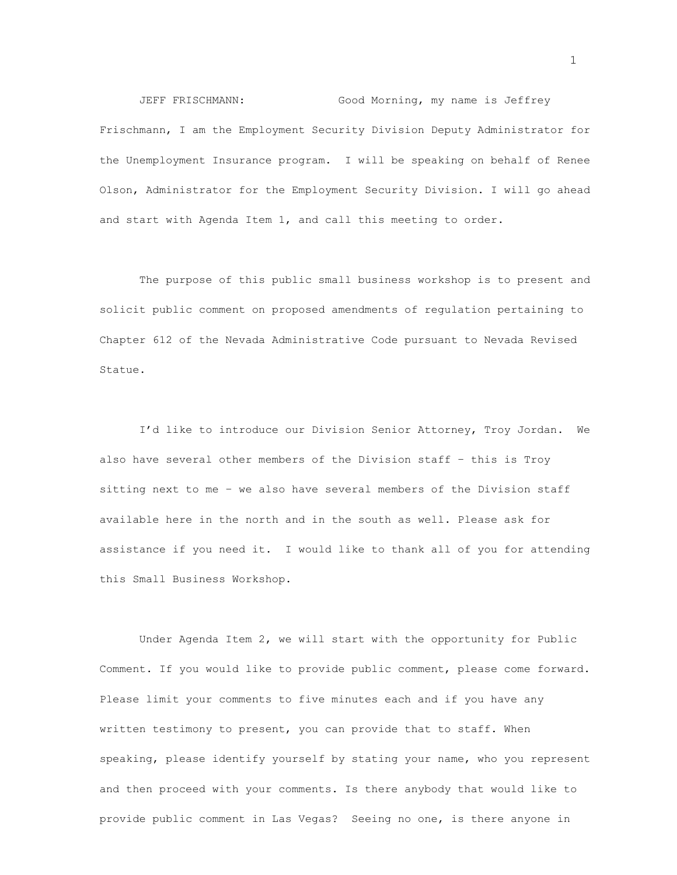JEFF FRISCHMANN: Good Morning, my name is Jeffrey Frischmann, I am the Employment Security Division Deputy Administrator for the Unemployment Insurance program. I will be speaking on behalf of Renee Olson, Administrator for the Employment Security Division. I will go ahead and start with Agenda Item 1, and call this meeting to order.

The purpose of this public small business workshop is to present and solicit public comment on proposed amendments of regulation pertaining to Chapter 612 of the Nevada Administrative Code pursuant to Nevada Revised Statue.

I'd like to introduce our Division Senior Attorney, Troy Jordan. We also have several other members of the Division staff – this is Troy sitting next to me – we also have several members of the Division staff available here in the north and in the south as well. Please ask for assistance if you need it. I would like to thank all of you for attending this Small Business Workshop.

Under Agenda Item 2, we will start with the opportunity for Public Comment. If you would like to provide public comment, please come forward. Please limit your comments to five minutes each and if you have any written testimony to present, you can provide that to staff. When speaking, please identify yourself by stating your name, who you represent and then proceed with your comments. Is there anybody that would like to provide public comment in Las Vegas? Seeing no one, is there anyone in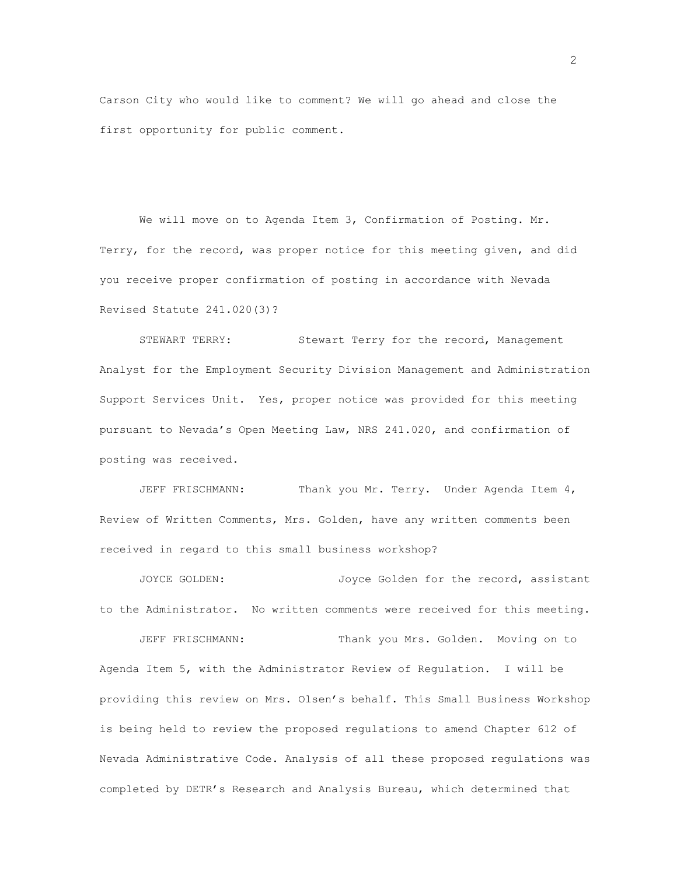Carson City who would like to comment? We will go ahead and close the first opportunity for public comment.

We will move on to Agenda Item 3, Confirmation of Posting. Mr. Terry, for the record, was proper notice for this meeting given, and did you receive proper confirmation of posting in accordance with Nevada Revised Statute 241.020(3)?

STEWART TERRY: Stewart Terry for the record, Management Analyst for the Employment Security Division Management and Administration Support Services Unit. Yes, proper notice was provided for this meeting pursuant to Nevada's Open Meeting Law, NRS 241.020, and confirmation of posting was received.

JEFF FRISCHMANN: Thank you Mr. Terry. Under Agenda Item 4, Review of Written Comments, Mrs. Golden, have any written comments been received in regard to this small business workshop?

JOYCE GOLDEN: Joyce Golden for the record, assistant to the Administrator. No written comments were received for this meeting.

JEFF FRISCHMANN: Thank you Mrs. Golden. Moving on to Agenda Item 5, with the Administrator Review of Regulation. I will be providing this review on Mrs. Olsen's behalf. This Small Business Workshop is being held to review the proposed regulations to amend Chapter 612 of Nevada Administrative Code. Analysis of all these proposed regulations was completed by DETR's Research and Analysis Bureau, which determined that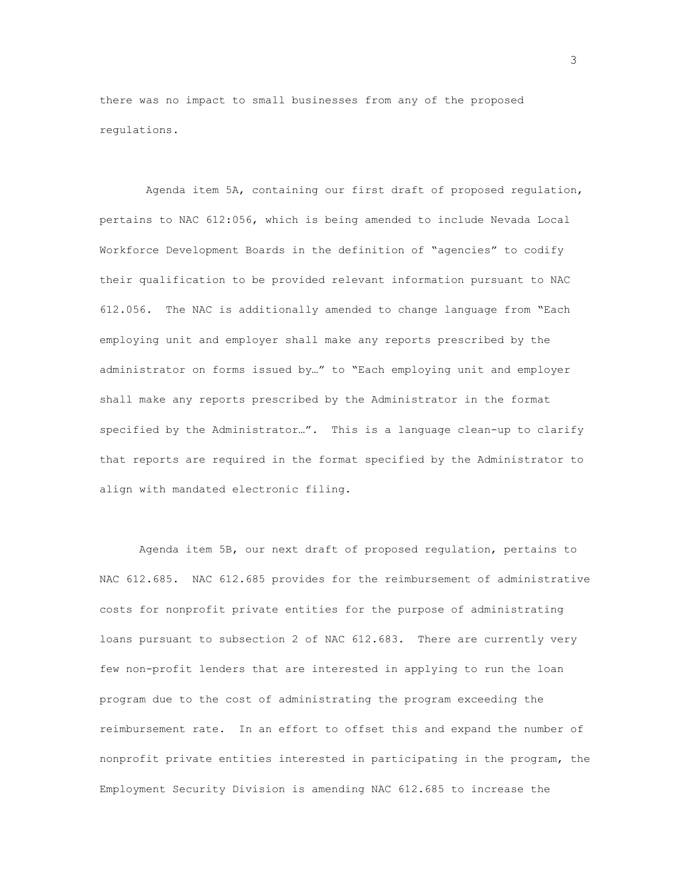there was no impact to small businesses from any of the proposed regulations.

Agenda item 5A, containing our first draft of proposed regulation, pertains to NAC 612:056, which is being amended to include Nevada Local Workforce Development Boards in the definition of "agencies" to codify their qualification to be provided relevant information pursuant to NAC 612.056. The NAC is additionally amended to change language from "Each employing unit and employer shall make any reports prescribed by the administrator on forms issued by…" to "Each employing unit and employer shall make any reports prescribed by the Administrator in the format specified by the Administrator…". This is a language clean-up to clarify that reports are required in the format specified by the Administrator to align with mandated electronic filing.

Agenda item 5B, our next draft of proposed regulation, pertains to NAC 612.685. NAC 612.685 provides for the reimbursement of administrative costs for nonprofit private entities for the purpose of administrating loans pursuant to subsection 2 of NAC 612.683. There are currently very few non-profit lenders that are interested in applying to run the loan program due to the cost of administrating the program exceeding the reimbursement rate. In an effort to offset this and expand the number of nonprofit private entities interested in participating in the program, the Employment Security Division is amending NAC 612.685 to increase the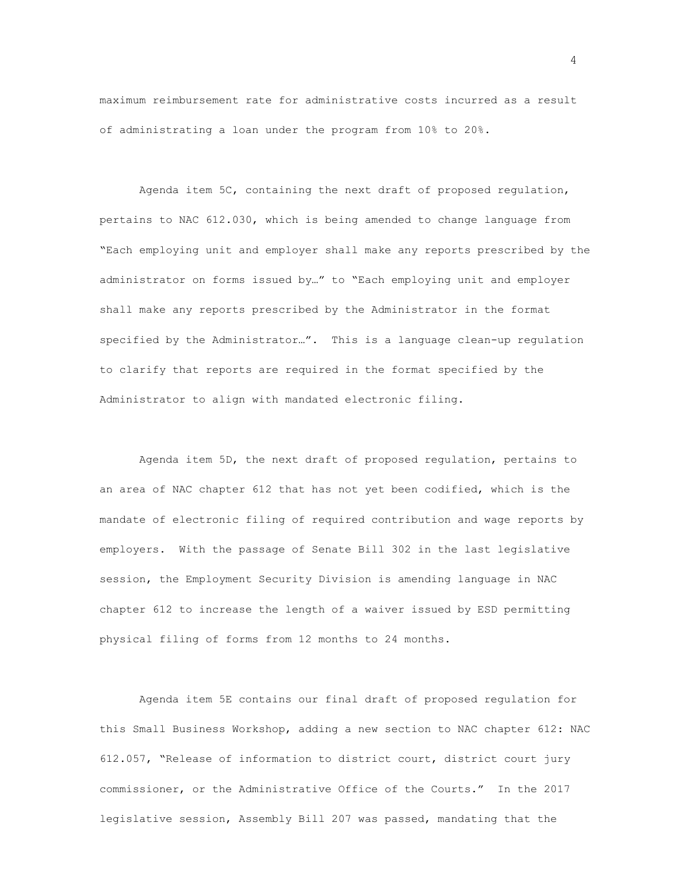maximum reimbursement rate for administrative costs incurred as a result of administrating a loan under the program from 10% to 20%.

Agenda item 5C, containing the next draft of proposed regulation, pertains to NAC 612.030, which is being amended to change language from "Each employing unit and employer shall make any reports prescribed by the administrator on forms issued by…" to "Each employing unit and employer shall make any reports prescribed by the Administrator in the format specified by the Administrator…". This is a language clean-up regulation to clarify that reports are required in the format specified by the Administrator to align with mandated electronic filing.

Agenda item 5D, the next draft of proposed regulation, pertains to an area of NAC chapter 612 that has not yet been codified, which is the mandate of electronic filing of required contribution and wage reports by employers. With the passage of Senate Bill 302 in the last legislative session, the Employment Security Division is amending language in NAC chapter 612 to increase the length of a waiver issued by ESD permitting physical filing of forms from 12 months to 24 months.

Agenda item 5E contains our final draft of proposed regulation for this Small Business Workshop, adding a new section to NAC chapter 612: NAC 612.057, "Release of information to district court, district court jury commissioner, or the Administrative Office of the Courts." In the 2017 legislative session, Assembly Bill 207 was passed, mandating that the